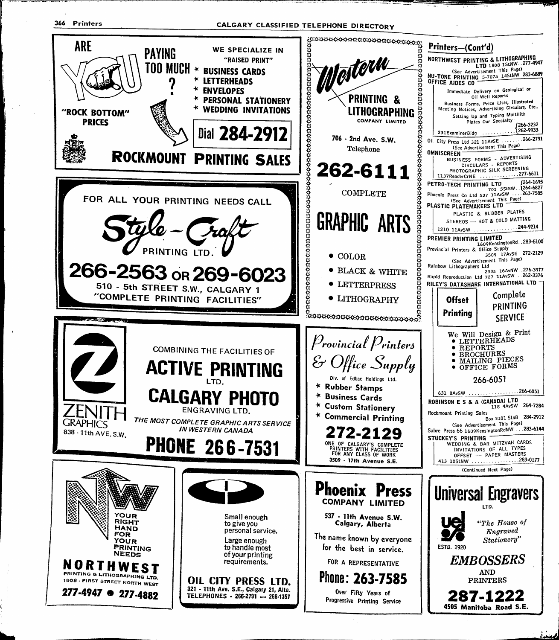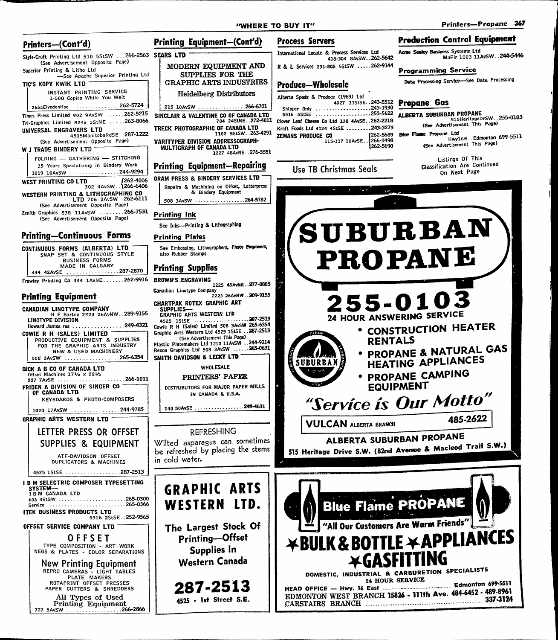#### "WHERE TO BUY IT" Printers—Propane 367 Process Servers **Production Control Equipment** Printing Equipment—(Confd) Printers--(Cont'd) International Locate & Process Services Ltd Acme Seekey Business Systems Ltd c/mational Acme 31.48-304 8AvSW..262-5642 418-304 SAvSW. .262-5642 MnFIr 1003 llAvSW. .244-5446 Style-Craft Printing Ltd 510 5StSW . . . 266-2563 SEARS LTD (See Advertisement Opposite Page) MODERN EQUIPMENT AND R & L Services 231-805 55tSW .....262-9144 Superior Printing & Litho Ltd Programming Service —See Apache Superior Printing Ltd SUPPLIES FOR THE Data Processing Service—See Data Processing GRAPHIC ARTS INDUSTRIES TIC'S KOPY KWIK LTD ~ Produce—Wholesale INSTANT PRINTING SERVICE Heidelberg Distributors Alberta Spads & Prodsce (1969) Ltd 1-500 Copies While You Wait 4027 llStSE. .243-5512 Pfllinnne GQS Shipper Only 243-1930 ' 5516 5StSE 253-5622 aLbEKTA SUBURBAN PROPANE -,=,.0103 265aElvedenHse 262-5724 215 10AvSW ...............266-6701 Times Press Limited 902 9AvSW ......262-5215 SINCLAIR & VALENTINE CO OF CANADA LTD Elever Leaf Cheese Co Ltd 138 4AvSE..262-2218<br>
Kraft Foods Ltd 4024 4StSE .........243-3273 (See Advertisement This Page)<br>
XEMANS PRODUCE CO (262-5689 Blue Flame Propane Ltd<br>
262-5689 Blue Flame Propane Ltd<br>
27 Edmonton 69 704 24StNE. .272-4011 Clover Leaf Cheese Co Ltd 138 4AvSE. .262-2218 Tri-Graphics Limited 824e 3StNE .....263-8066 UNIVERSAL ENGRAVERS LTD TRECK PHOTOGRAPHIC OF CANADA LTD 1102 5StSW. .263-4291 4505ManitobaRdSE. .287-1222 ZEMANS PRODUCE CO (262-5689)<br>115-117 10AvSE..{266-3498 e Lum<br>Hwyl6E Edmonton 699-5511 (See Advertisement Opposite Page) VARITYPER DIVISION ADDRESSOGRAPH-1262-5690 (See Advertisement This Page) MULTIGRAPH OF CANADA LTD W J TRADE BINDERY LTD 1227 48AvNE. .276-5551 FOLDING — GATHERING — STITCHING Listings Of This 35 Years Specializing in Bindery Work Classification Are Continued Printing Equipment—Repairing Use TB Christmas Seals 1019 10AvSW ................244-9294 On Next Page ORAM PRESS & BINDERY SERVICES LTD 262-4006 1262<br>266-6406. .west PRINTING CO LTD Repairs & Machining on Offset, Letterpress & Bindery Equipment WESTERN PRINTING & LITHOGRAPHING CO LTD 706 2AvSW 262-6111 508 3AvSW .................264-5782 (See Advertisement Opposite Page) Zenith Graphics 838 11AvSW ........266-7531<br>(See Advertisement Opposite Page) Printing Ink SUBURBAN See Inks—Printing & Lithographing Printing—Continuous Forms Printing Plates CONTINUOUS FORMS (ALBERTA) LTD See Embossing, Lithographers, Photo Engravers, PROPANE SNAP SET & CONTINUOUS STYLE also Rubber Stamps BUSINESS FORMS MADE IN CALGARY Printing Supplies 444 42AvSE ........................287-2870 Frawley Printing Co 444 1AvNE.......262-9916 BROWN'S.ENGRAVING 1225 45AvNE. .277-8885 Canadian Linotype Company 2223 26AvNW. .289-9155 Printing Equipment 255-0103 GHARTPAK ROTEX GRAPHIC ART CANADIAN LINOTYPE COMPANY SUPPLIES-GRAPHIC ARTS WESTERN LTD 24 HOUR ANSWERING SERVICE H F Barton 2223 26AvNW. .289-9155 287-2513 LINOTYPE DIVISION<br>Howard James res 4525 IStSE  $\ldots \ldots \ldots 249-4321$ • CONSTRUCTION HEATER Cowie R H (Sales) Limited 508 3AvSW 265-6354 Graphic Arts Western Ltd 4525 iStSE . .287-2513 COWIE R H (SALES) LIMITED -(See Advertisement This Page) PRODUCTIVE EQUIPMENT & SUPPLIES RENTALS Plastic Platemakers Ltd 1210 11AvSW . . 244-9214 **• PROPANE & NATURAL GAS** FOR THE GRAPHIC ARTS INDUSTRY NEW & USED MACHINERY Rexon Graphics Ltd 508 3AvSW ......265-0631 508 3AvSW .........................265-6354 SMITH DAVIDSON & LECKY LTD HEATING appliances SUBURBAN WHOLESALE DICK A B CO OF CANADA LTD • PROPANE CAMPING PRINTERS' PAPER Offset Machines 171/2 x 221/2<br>227 7AvSE .....................266-1011 equipment FRIDEN A DIVISION OF SINGER CO -DISTRIBUTORS FOR MAJOR PAPER MILLS OF CANADA LTD IN CANADA & U.S.A. KEYBOARDS & PHOTO-COMPOSERS // 'Service is Our Motto 140 SOAvSE ....................249-4631 1020 17AvSW 2020 244-9785 GRAPHIC ARTS WESTERN LTD 485-2622 VULCAN ALBERTA BRANCH LETTER PRESS OR OFFSET refreshing ALBERTA SUBURBAN PROPANE Wilted asparagus can sometimes SUPPLIES & EQUIPMENT 515 Heritage Drive S.W. (82nd Avenue & Macleod Trail S.W.) be refreshed by placing the stems ATF-DAVIDSON OFFSET in cold water. DUPLICATORS & MACHINES 4525 1StSE ..............................287-2513 **I B M SELECTRIC COMPOSER TYPESETTING** GRAPHIC ARTS SYSTEM--<br>I B M CANADA LTD 606 4StSW ......................265-0300 **Blue Flame PROPANE** WESTERN LTD. Service 265-0366 ITEK BUSINESS PRODUCTS LTD 5316 2StSE. .252-9565 "All Our Customers Are Warm Friends" The Largest Stock Of OFFSET SERVICE COMPANY LTD YBUIK & BOTTLE \*APPLIAMCES Printing—Offset **OFFSET** TYPE COMPOSITION - ART WORK NEGS & PLATES - COLOR SEPARATIONS Supplies in Western Canada **XGASFITTING** New Printing Equipment DOMESTIC, INDUSTRIAL & CARBURETION SPECIALISTS<br>
HEAD OFFICE — Hwy. 16 East — Edmonton 699-5511<br>
EDMONTON WEST BRANCH 15826 - 111th Ave. 484-6452 - 489-8961<br>
337-3124 REPRO CAMERAS - LIGHT TABLES PLATE MAKERS DOMESTIC, INDUSTRIAL & CARBURETION SPECIAL! 24 HOUR SERVICE<br>HEAD OFFICE - Hwy. 16 East ROTAPRINT OFFSET PRESSES 287-2513 PAPER CUTTERS & SHREDDERS All Types of Used CARSTAIRS BRANCH 2000 1000 1000 1000 1000 1000 337-3124 4525 - 1st Street S.E. Printing Equipment

727 5AvSW 266-2866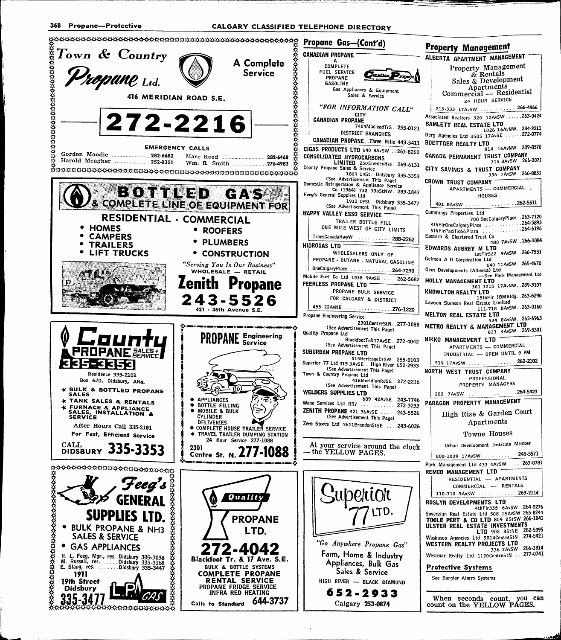CALGARY CLASSIFIED TELEPHONE DIRECTORY

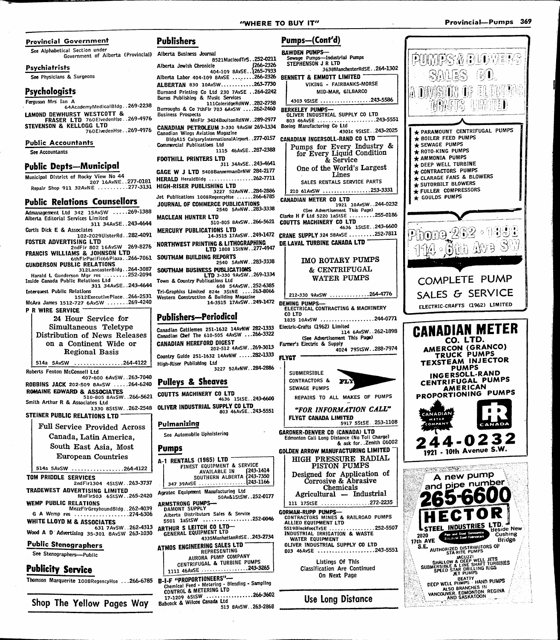# "WHERE TO BUY IT" The Contract of the Provincial—Pumps 369



#### See Alphabetical Section under Government of Alberta (Provincial) Alberta Business Journal

#### Psychiatrists

See Physiciams & Surgeons

# Psychologists

Ferguson Mrs Ian A

64Academyl\/ledicalBldg. .2o9-223o LAMOND DEWHURST WESTCOTT & ERASER LTD 760ElvedenHse. .269-4976 STEVENSON & KELLOGG LTD

760ElvedenHse. .269-4976 Public Accountants

# See Accountants

## Public Depfs—Municipal

Municipal District of Rocky View No 44 207 16AvNE. .277-0181 Repair Shop 911 32AvNE .........277-3131

### Public Relations Counsellors

Admanagement Ltd 342 15AvSW .....269-1388 Alberta Editorial Services Limited 311 34AvSE. .243-4644 Curtis Dick E & Associates 102-2029UlsterRd. .282-4091 FOSTER ADVERTISING LTD 2ndFir 802 16AvSW 269-8276 FRANCIS WILLIAMS & JOHNSON LTD 6thFirPacific66Plaza. .266-7061 GUNDERSON PUBLIC RELATIONS 312LancasterBidg. .264-3087 Harald L Gunderson Mgr res 252-2094<br>Inside Canada Public Relations Ltd Inside Canada Public Relations Ltd 311 34AvSE. .243-4644 Interquest Public Relations 1512ExecutivePiace. .266-2531 McAra James 1512-727 6AvSW .......269-4240 P R WIRE SERVICE 24 Hour Service for Simultaneous Teletype Distribution of News Releases on a Continent Wide or Regional Basis 514a 5AvSW ...............264-4122 Roberts Fenton McConnell Ltd 407-600 6AvSW. .263-7040 ROBBINS JACK 202-509 8AvSW .....264-6240 ROMAINE EDWARD & ASSOCIATES 510-805 8AvSW. .266-5621 Smith Arthur R & Associates Ltd 1330 8StSW. .262-2548 STEINER PUBLIC RELATIONS LTD Full Service Provided Across Canada, Latin America, South East Asia, Most European Countries 514a 5AvSW ...............264-4122 TOM PRIDDLE SERVICES 2ndFlrl304 4StSW. .263-3737 TRADEWEST ADVERTISING LIMITED MnFlr503 6StSW. .265-2420 WEMP PUBLIC RELATIONS MezzFlrGreyhoundBldg. .262-4039 G A Wemp res .....................274-6306 WHITE LLOYD M & ASSOCIATES 631 7AvSW. .262-4313 Wood A D Advertising 35-301 BAvSW 263-1030 Public Stenographers See Stenographers—Public Publicity Service Thomson Marquerite 1008RegencyHse ...266-6785 B-I-F "PROPORTIONEERS"

Shop The Yellow Pages Way

#### Pumps—(Cont^d) Publishers BAWDEN PUMPS— Sewage Pumps—Industrial Pumps 8521MacleodTrS..252-0211<br>266-2326 / Alberta Jewish Chronicle STEPHENSON J R LTD Alberta Jewish Chronicle<br>404-109 8AvSE. .1265-7933 Alberta Labor 404-109 8AvSE ........266-2326 ALBERTAN 830 10AvSW............263-7730 Burnand Printing Co Ltd 230 7AvSE . .264-2242 Burns Publishing & Music Services lllCoieridgeRdNW. .282-2758 Burroughs & Co 7thFir 703 6AvSW ....262-2460 Business Prospects MnFIr 3424BouitonRdNW..289-2977 CANADIAN PETROLEUM 3-330 9AvSW 269-1334 Canadian Wings Aviation Magazine Commercial Publications Ltd 1115 46AvSE. . 287-2388 FOOTHILL PRINTERS LTD 311 34AvSE. .243-4641 GAGE W J LTD 5408BannermanDrNW 284-2177 HERALD HeraidBldg 262-7711 HIGH-RISER PUBLISHING LTD 3227 52AvNW. .284-2886 Jet Publications 1008RegencyHse ......266-6785 JOURNAL OF COMMERCE PUBLICATIONS 2540 5AvNW. .283-3338 MACLEAN HUNTER LTD 510-805 SAvSW. .266-5621 MERCURY PUBLICATIONS LTD 14-3515 17AvSW. .249-1472 NORTHWEST PRINTING & LITHOGRAPHING LTD 1808 iStNW..277-4947 SOUTHAM BUILDING REPORTS 2540 5AvNW. .283-3338 SOUTHAM BUSINESS PUBLICATIONS LTD 3-330 9AvSW..269-1334 Town & Country Publications Ltd 608 54AvSW. .252-6385 Tri-Graphics Limited 824e 3StNE ....263-8066<br>Western Construction & Building Magazine Publishers—Periodical Canadian Cattlemen 251-1632 14AvNW 282-1333 Canadian Chef The 610-505 4AvSW ...266-3322 CANADIAN HEREFORD DIGEST 202-512 4AvSW. .269-3013 Country Guide 251-1632 14AvNW .....282-1333 High-Riser Publishing Ltd ...<br>3227 52AvNW..284-2886 Pulleys & Sheaves COUTTS MACHINERY CO LTD 4636 iStSE. .243-6600 OLIVER INDUSTRIAL SUPPLY CO LTD 803 46AvSE. .243-5551 Pulmanizing See Automobile Upholstering Pumps A-1 RENTALS (1965) LTD FINEST EQUIPMENT & SERVICE AVAILABLE IN 1243-1414<br>SOUTHERN ALBERTA {243-7350 347 39AvSE (243-1166) Agratec Equipment Manufacturing Ltd .252-0177 50Av&lStSW ARMSTRONG PUMPS— DAMONT SUPPLY Alberta Distributors Sales & Service 5501 laStSW 252-0046 ARTHUR S LEITCH CO LTD-<br>GENERAL EQUIPMENT LTD 4335ManhattanRdSE..243-2734 **ATMOS ENGINEERING SALES LTD** REPRESENTING aurora PUMP COMPANY

 $17-1209$  6StSW ......... Rahrock & Wilcox Canada Ltd



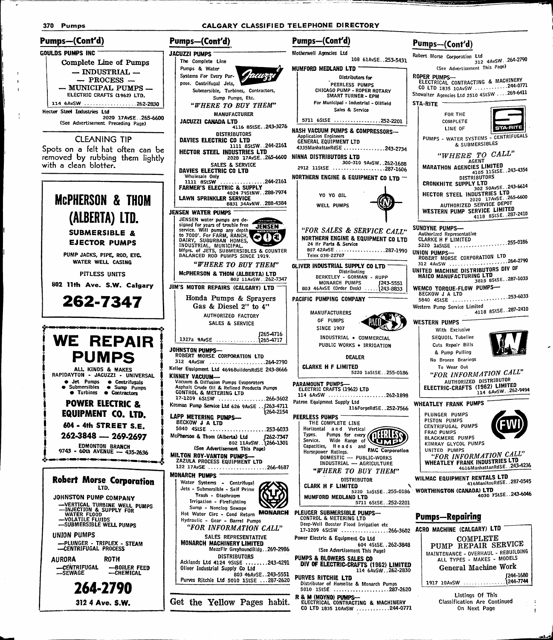312 4 Ave. S.W.



Get the Yellow Pages habit.

Listings Of This Classification Are Continued On Next Page

CO LTD 1835 10AvSW ...........244-0771